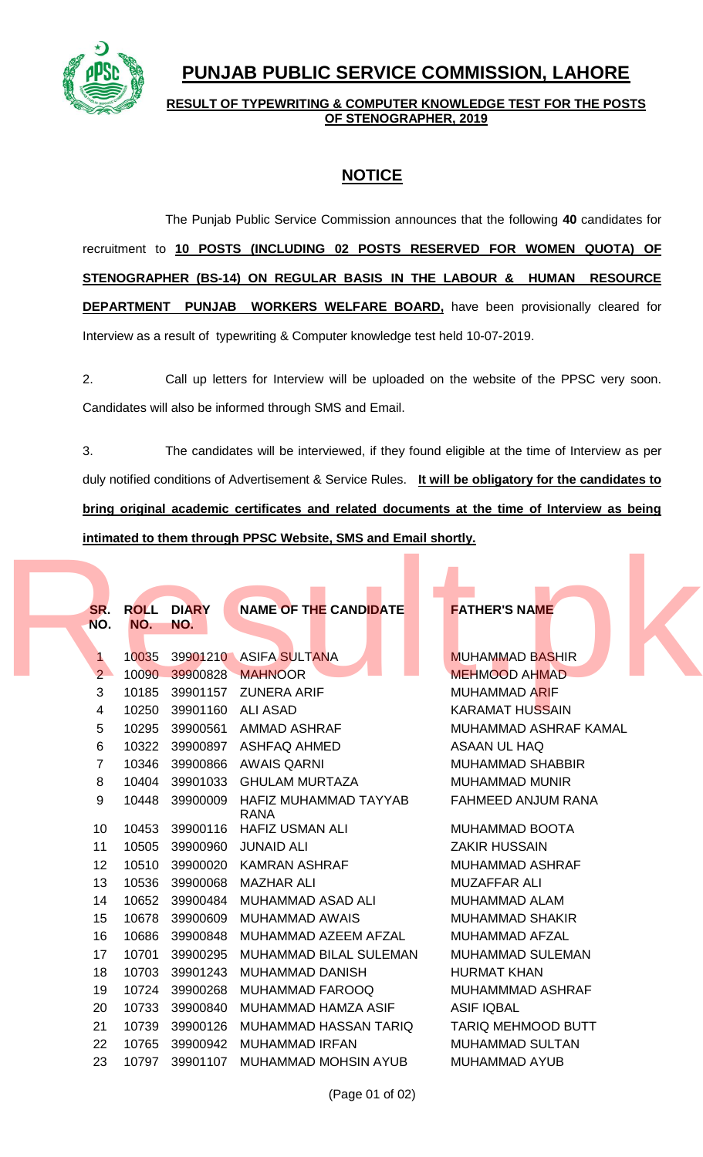

## **PUNJAB PUBLIC SERVICE COMMISSION, LAHORE**

## **RESULT OF TYPEWRITING & COMPUTER KNOWLEDGE TEST FOR THE POSTS OF STENOGRAPHER, 2019**

## **NOTICE**

The Punjab Public Service Commission announces that the following **40** candidates for recruitment to **10 POSTS (INCLUDING 02 POSTS RESERVED FOR WOMEN QUOTA) OF STENOGRAPHER (BS-14) ON REGULAR BASIS IN THE LABOUR & HUMAN RESOURCE DEPARTMENT PUNJAB WORKERS WELFARE BOARD,** have been provisionally cleared for Interview as a result of typewriting & Computer knowledge test held 10-07-2019.

2. Call up letters for Interview will be uploaded on the website of the PPSC very soon. Candidates will also be informed through SMS and Email.

3. The candidates will be interviewed, if they found eligible at the time of Interview as per duly notified conditions of Advertisement & Service Rules. **It will be obligatory for the candidates to bring original academic certificates and related documents at the time of Interview as being intimated to them through PPSC Website, SMS and Email shortly.**

| SR.<br><b>ROLL</b><br><b>DIARY</b><br><b>NAME OF THE CANDIDATE</b><br><b>FATHER'S NAME</b><br>NO.<br>NO.<br>NO.<br>39901210 ASIFA SULTANA<br>10035<br><b>MUHAMMAD BASHIR</b><br>1.<br>39900828<br>2 <sup>1</sup><br>10090<br><b>MAHNOOR</b><br><b>MEHMOOD AHMAD</b><br>3<br>39901157<br>10185<br><b>ZUNERA ARIF</b><br><b>MUHAMMAD ARIF</b><br>10250<br>39901160 ALI ASAD<br><b>KARAMAT HUSSAIN</b><br>4<br>10295<br>39900561<br>5<br><b>AMMAD ASHRAF</b><br>MUHAMMAD ASHRAF KAMAL<br>6<br>10322<br>39900897 ASHFAQ AHMED<br><b>ASAAN UL HAQ</b><br>10346<br>39900866<br>$\overline{7}$<br><b>AWAIS QARNI</b><br><b>MUHAMMAD SHABBIR</b><br>8<br>10404<br>39901033 GHULAM MURTAZA<br><b>MUHAMMAD MUNIR</b><br>9<br>10448<br>39900009<br>HAFIZ MUHAMMAD TAYYAB<br>FAHMEED ANJUM RANA<br><b>RANA</b><br>39900116<br><b>HAFIZ USMAN ALI</b><br>MUHAMMAD BOOTA<br>10<br>10453<br>11<br>10505<br>39900960 JUNAID ALI<br><b>ZAKIR HUSSAIN</b><br>10510<br>39900020<br><b>KAMRAN ASHRAF</b><br>12<br><b>MUHAMMAD ASHRAF</b><br>13<br>10536<br>39900068<br><b>MAZHAR ALI</b><br><b>MUZAFFAR ALI</b> |  |
|---------------------------------------------------------------------------------------------------------------------------------------------------------------------------------------------------------------------------------------------------------------------------------------------------------------------------------------------------------------------------------------------------------------------------------------------------------------------------------------------------------------------------------------------------------------------------------------------------------------------------------------------------------------------------------------------------------------------------------------------------------------------------------------------------------------------------------------------------------------------------------------------------------------------------------------------------------------------------------------------------------------------------------------------------------------------------------------------|--|
|                                                                                                                                                                                                                                                                                                                                                                                                                                                                                                                                                                                                                                                                                                                                                                                                                                                                                                                                                                                                                                                                                             |  |
|                                                                                                                                                                                                                                                                                                                                                                                                                                                                                                                                                                                                                                                                                                                                                                                                                                                                                                                                                                                                                                                                                             |  |
|                                                                                                                                                                                                                                                                                                                                                                                                                                                                                                                                                                                                                                                                                                                                                                                                                                                                                                                                                                                                                                                                                             |  |
|                                                                                                                                                                                                                                                                                                                                                                                                                                                                                                                                                                                                                                                                                                                                                                                                                                                                                                                                                                                                                                                                                             |  |
|                                                                                                                                                                                                                                                                                                                                                                                                                                                                                                                                                                                                                                                                                                                                                                                                                                                                                                                                                                                                                                                                                             |  |
|                                                                                                                                                                                                                                                                                                                                                                                                                                                                                                                                                                                                                                                                                                                                                                                                                                                                                                                                                                                                                                                                                             |  |
|                                                                                                                                                                                                                                                                                                                                                                                                                                                                                                                                                                                                                                                                                                                                                                                                                                                                                                                                                                                                                                                                                             |  |
|                                                                                                                                                                                                                                                                                                                                                                                                                                                                                                                                                                                                                                                                                                                                                                                                                                                                                                                                                                                                                                                                                             |  |
|                                                                                                                                                                                                                                                                                                                                                                                                                                                                                                                                                                                                                                                                                                                                                                                                                                                                                                                                                                                                                                                                                             |  |
|                                                                                                                                                                                                                                                                                                                                                                                                                                                                                                                                                                                                                                                                                                                                                                                                                                                                                                                                                                                                                                                                                             |  |
|                                                                                                                                                                                                                                                                                                                                                                                                                                                                                                                                                                                                                                                                                                                                                                                                                                                                                                                                                                                                                                                                                             |  |
|                                                                                                                                                                                                                                                                                                                                                                                                                                                                                                                                                                                                                                                                                                                                                                                                                                                                                                                                                                                                                                                                                             |  |
|                                                                                                                                                                                                                                                                                                                                                                                                                                                                                                                                                                                                                                                                                                                                                                                                                                                                                                                                                                                                                                                                                             |  |
|                                                                                                                                                                                                                                                                                                                                                                                                                                                                                                                                                                                                                                                                                                                                                                                                                                                                                                                                                                                                                                                                                             |  |
|                                                                                                                                                                                                                                                                                                                                                                                                                                                                                                                                                                                                                                                                                                                                                                                                                                                                                                                                                                                                                                                                                             |  |
|                                                                                                                                                                                                                                                                                                                                                                                                                                                                                                                                                                                                                                                                                                                                                                                                                                                                                                                                                                                                                                                                                             |  |
|                                                                                                                                                                                                                                                                                                                                                                                                                                                                                                                                                                                                                                                                                                                                                                                                                                                                                                                                                                                                                                                                                             |  |
|                                                                                                                                                                                                                                                                                                                                                                                                                                                                                                                                                                                                                                                                                                                                                                                                                                                                                                                                                                                                                                                                                             |  |
| 10652<br>39900484<br><b>MUHAMMAD ASAD ALI</b><br>14<br><b>MUHAMMAD ALAM</b>                                                                                                                                                                                                                                                                                                                                                                                                                                                                                                                                                                                                                                                                                                                                                                                                                                                                                                                                                                                                                 |  |
| 10678<br>39900609<br><b>MUHAMMAD AWAIS</b><br><b>MUHAMMAD SHAKIR</b><br>15                                                                                                                                                                                                                                                                                                                                                                                                                                                                                                                                                                                                                                                                                                                                                                                                                                                                                                                                                                                                                  |  |
| 10686<br>16<br>39900848<br>MUHAMMAD AZEEM AFZAL<br><b>MUHAMMAD AFZAL</b>                                                                                                                                                                                                                                                                                                                                                                                                                                                                                                                                                                                                                                                                                                                                                                                                                                                                                                                                                                                                                    |  |
| 10701<br>39900295<br>MUHAMMAD BILAL SULEMAN<br>17<br><b>MUHAMMAD SULEMAN</b>                                                                                                                                                                                                                                                                                                                                                                                                                                                                                                                                                                                                                                                                                                                                                                                                                                                                                                                                                                                                                |  |
| 10703<br>39901243<br>18<br><b>MUHAMMAD DANISH</b><br><b>HURMAT KHAN</b>                                                                                                                                                                                                                                                                                                                                                                                                                                                                                                                                                                                                                                                                                                                                                                                                                                                                                                                                                                                                                     |  |
| 10724<br>39900268<br>19<br><b>MUHAMMAD FAROOQ</b><br>MUHAMMMAD ASHRAF                                                                                                                                                                                                                                                                                                                                                                                                                                                                                                                                                                                                                                                                                                                                                                                                                                                                                                                                                                                                                       |  |
| 10733<br>39900840<br>MUHAMMAD HAMZA ASIF<br><b>ASIF IQBAL</b><br>20                                                                                                                                                                                                                                                                                                                                                                                                                                                                                                                                                                                                                                                                                                                                                                                                                                                                                                                                                                                                                         |  |
| 21<br>10739<br>39900126<br>MUHAMMAD HASSAN TARIQ<br><b>TARIQ MEHMOOD BUTT</b>                                                                                                                                                                                                                                                                                                                                                                                                                                                                                                                                                                                                                                                                                                                                                                                                                                                                                                                                                                                                               |  |
| 22<br>10765<br>39900942<br><b>MUHAMMAD IRFAN</b><br><b>MUHAMMAD SULTAN</b>                                                                                                                                                                                                                                                                                                                                                                                                                                                                                                                                                                                                                                                                                                                                                                                                                                                                                                                                                                                                                  |  |
| 23<br>10797<br>39901107<br><b>MUHAMMAD MOHSIN AYUB</b><br><b>MUHAMMAD AYUB</b>                                                                                                                                                                                                                                                                                                                                                                                                                                                                                                                                                                                                                                                                                                                                                                                                                                                                                                                                                                                                              |  |